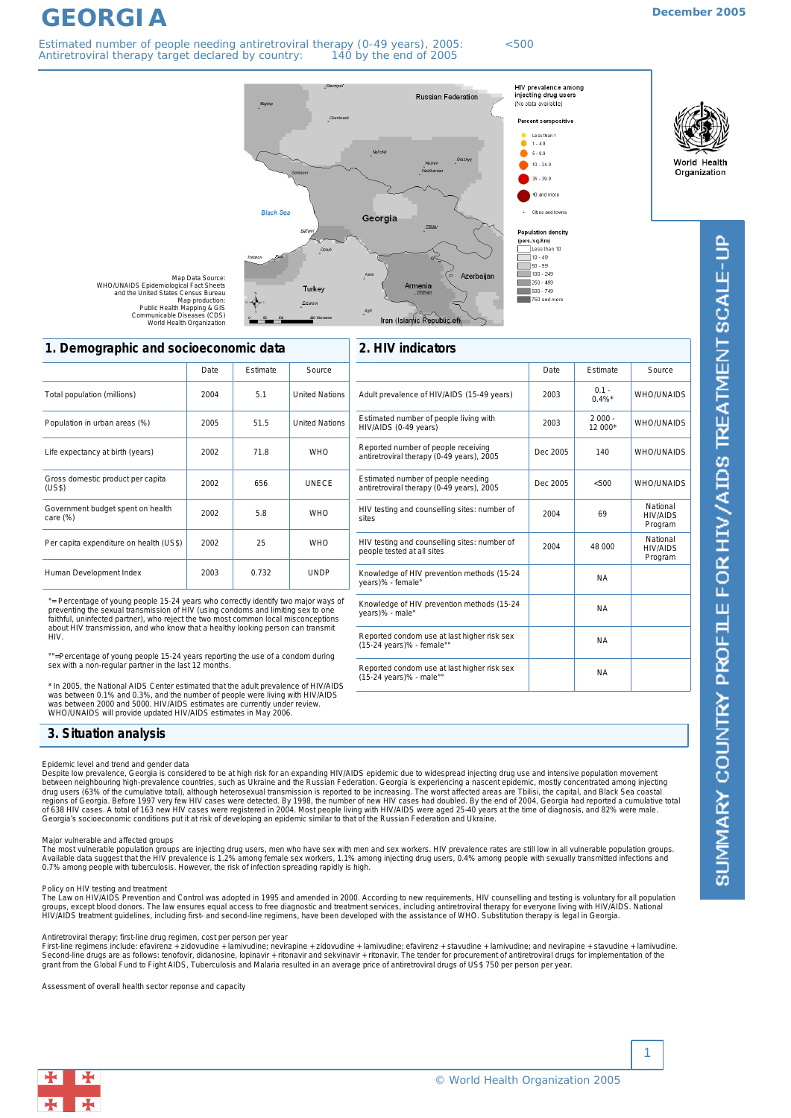# **December 2005**

**GEORGIA** Estimated number of people needing antiretroviral therapy (0-49 years), 2005: <500 Antiretroviral therapy target declared by country: 140 by the end of 2005







SUMMARY COUNTRY PROFILE FOR HIV/AIDS TREATMENT SCALE-UP

# Total population (millions) 2004 5.1 United Nations **1. Demographic and socioeconomic data** Date | Estimate | Source

| TOtal population (millions)                   | 2004 | 5.1   | United Nations        |
|-----------------------------------------------|------|-------|-----------------------|
| Population in urban areas (%)                 | 2005 | 51.5  | <b>United Nations</b> |
| Life expectancy at birth (years)              | 2002 | 71.8  | <b>WHO</b>            |
| Gross domestic product per capita<br>(US\$)   | 2002 | 656   | <b>UNFCF</b>          |
| Government budget spent on health<br>care (%) | 2002 | 5.8   | <b>WHO</b>            |
| Per capita expenditure on health (US\$)       | 2002 | 25    | <b>WHO</b>            |
| Human Development Index                       | 2003 | 0.732 | <b>UNDP</b>           |

°= Percentage of young people 15-24 years who correctly identify two major ways of<br>preventing the sexual transmission of HIV (using condoms and limiting sex to one<br>faithful, uninfected partner), who reject the two most com about HIV transmission, and who know that a healthy looking person can transmit H<sub>IV</sub>

=Percentage of young people 15-24 years reporting the use of a condom during sex with a non-regular partner in the last 12 months.

\* In 2005, the National AIDS Center estimated that the adult prevalence of HIV/AIDS was between 0.1% and 0.3%, and the number of people were living with HIV/AIDS<br>was between 2000 and 5000. HIV/AIDS estimates are currently under review.<br>WHO/UNAIDS will provide updated HIV/AIDS estimates in May 2006.

| 2. HIV indicators                                                                |             |                      |                                        |  |
|----------------------------------------------------------------------------------|-------------|----------------------|----------------------------------------|--|
|                                                                                  | <b>Date</b> | Estimate             | Source                                 |  |
| Adult prevalence of HIV/AIDS (15-49 years)                                       | 2003        | $0.1 -$<br>$0.4\%$ * | <b>WHO/UNAIDS</b>                      |  |
| Estimated number of people living with<br>HIV/AIDS (0-49 years)                  | 2003        | $2000 -$<br>$12000*$ | WHO/UNAIDS                             |  |
| Reported number of people receiving<br>antiretroviral therapy (0-49 years), 2005 | Dec 2005    | 140                  | <b>WHO/UNAIDS</b>                      |  |
| Estimated number of people needing<br>antiretroviral therapy (0-49 years), 2005  | Dec 2005    | < 500                | WHO/UNAIDS                             |  |
| HIV testing and counselling sites: number of<br>sites                            | 2004        | 69                   | National<br><b>HIV/AIDS</b><br>Program |  |
| HIV testing and counselling sites: number of<br>people tested at all sites       | 2004        | 48 000               | National<br><b>HIV/AIDS</b><br>Program |  |
| Knowledge of HIV prevention methods (15-24<br>years)% - female°                  |             | <b>NA</b>            |                                        |  |
| Knowledge of HIV prevention methods (15-24<br>years)% - male°                    |             | <b>NA</b>            |                                        |  |
| Reported condom use at last higher risk sex<br>(15-24 years)% - female°°         |             | <b>NA</b>            |                                        |  |
| Reported condom use at last higher risk sex<br>(15-24 years)% - male°°           |             | <b>NA</b>            |                                        |  |

# **3. Situation analysis**

### *Epidemic level and trend and gender data*

Despite low prevalence, Georgia is considered to be at high risk for an expanding HIV/AIDS epidemic due to widespread injecting drug use and intensive population movement<br>between neighbouring high-prevalence countries, suc drug users (63% of the cumulative total), although heterosexual transmission is reported to be increasing. The worst affected areas are Tbilisi, the capital, and Black Sea coastal<br>regions of Georgia. Before 1997 very few H Georgia's socioeconomic conditions put it at risk of developing an epidemic similar to that of the Russian Federation and Ukraine.

### *Major vulnerable and affected groups*

The most vulnerable population groups are injecting drug users, men who have sex with men and sex workers. HIV prevalence rates are still low in all vulnerable population groups.<br>Available data suggest that the HIV prevale

Policy on HIV testing and treatment<br>The Law on HIV/AIDS Prevention and Control was adopted in 1995 and amended in 2000. According to new requirements, HIV counselling and testing is voluntary for all population groups, except blood donors. The law ensures equal access to free diagnostic and treatment services, including antiretroviral therapy for everyone living with HIV/AIDS. National<br>HIV/AIDS treatment guidelines, including fir

#### *Antiretroviral therapy: first-line drug regimen, cost per person per year*

First-line regimens include: efavirenz + zidovudine + lamivudine; nevirapine + zidovudine + lamivudine, amb moltine, amb moltine + lamivudine. Innovudine + stavudine + lamivudine.<br>Second-line drugs are as follows: tenofov

*Assessment of overall health sector reponse and capacity*

1